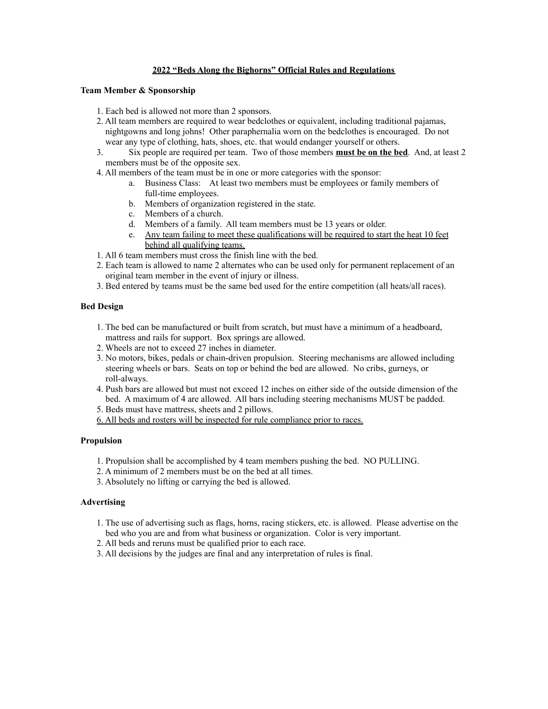# **2022 "Beds Along the Bighorns" Official Rules and Regulations**

#### **Team Member & Sponsorship**

- 1. Each bed is allowed not more than 2 sponsors.
- 2. All team members are required to wear bedclothes or equivalent, including traditional pajamas, nightgowns and long johns! Other paraphernalia worn on the bedclothes is encouraged. Do not wear any type of clothing, hats, shoes, etc. that would endanger yourself or others.
- 3. Six people are required per team. Two of those members **must be on the bed**. And, at least 2 members must be of the opposite sex.
- 4. All members of the team must be in one or more categories with the sponsor:
	- a. Business Class: At least two members must be employees or family members of full-time employees.
	- b. Members of organization registered in the state.
	- c. Members of a church.
	- d. Members of a family. All team members must be 13 years or older.
	- e. Any team failing to meet these qualifications will be required to start the heat 10 feet behind all qualifying teams.
- 1. All 6 team members must cross the finish line with the bed.
- 2. Each team is allowed to name 2 alternates who can be used only for permanent replacement of an original team member in the event of injury or illness.
- 3. Bed entered by teams must be the same bed used for the entire competition (all heats/all races).

#### **Bed Design**

- 1. The bed can be manufactured or built from scratch, but must have a minimum of a headboard, mattress and rails for support. Box springs are allowed.
- 2. Wheels are not to exceed 27 inches in diameter.
- 3. No motors, bikes, pedals or chain-driven propulsion. Steering mechanisms are allowed including steering wheels or bars. Seats on top or behind the bed are allowed. No cribs, gurneys, or roll-always.
- 4. Push bars are allowed but must not exceed 12 inches on either side of the outside dimension of the bed. A maximum of 4 are allowed. All bars including steering mechanisms MUST be padded.
- 5. Beds must have mattress, sheets and 2 pillows.
- 6. All beds and rosters will be inspected for rule compliance prior to races.

#### **Propulsion**

- 1. Propulsion shall be accomplished by 4 team members pushing the bed. NO PULLING.
- 2. A minimum of 2 members must be on the bed at all times.
- 3. Absolutely no lifting or carrying the bed is allowed.

### **Advertising**

- 1. The use of advertising such as flags, horns, racing stickers, etc. is allowed. Please advertise on the bed who you are and from what business or organization. Color is very important.
- 2. All beds and reruns must be qualified prior to each race.
- 3. All decisions by the judges are final and any interpretation of rules is final.